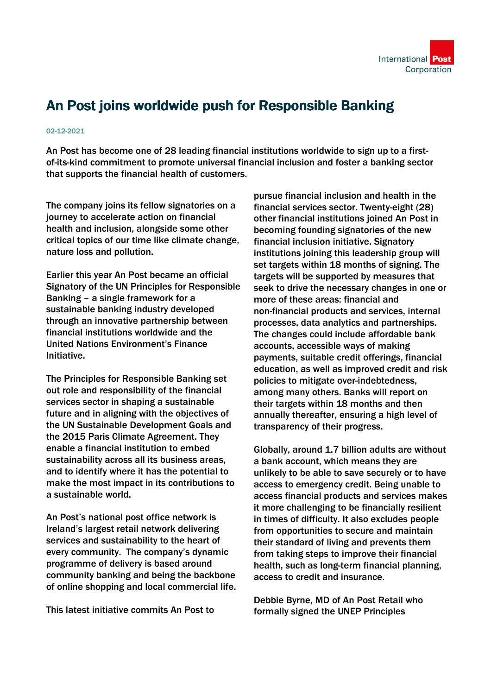

## An Post joins worldwide push for Responsible Banking

## 02-12-2021

An Post has become one of 28 leading financial institutions worldwide to sign up to a firstof-its-kind commitment to promote universal financial inclusion and foster a banking sector that supports the financial health of customers.

The company joins its fellow signatories on a journey to accelerate action on financial health and inclusion, alongside some other critical topics of our time like climate change, nature loss and pollution.

Earlier this year An Post became an official Signatory of the UN Principles for Responsible Banking – a single framework for a sustainable banking industry developed through an innovative partnership between financial institutions worldwide and the United Nations Environment's Finance Initiative.

The Principles for Responsible Banking set out role and responsibility of the financial services sector in shaping a sustainable future and in aligning with the objectives of the UN Sustainable Development Goals and the 2015 Paris Climate Agreement. They enable a financial institution to embed sustainability across all its business areas, and to identify where it has the potential to make the most impact in its contributions to a sustainable world.

An Post's national post office network is Ireland's largest retail network delivering services and sustainability to the heart of every community. The company's dynamic programme of delivery is based around community banking and being the backbone of online shopping and local commercial life.

This latest initiative commits An Post to

pursue financial inclusion and health in the financial services sector. Twenty-eight (28) other financial institutions joined An Post in becoming founding signatories of the new financial inclusion initiative. Signatory institutions joining this leadership group will set targets within 18 months of signing. The targets will be supported by measures that seek to drive the necessary changes in one or more of these areas: financial and non-financial products and services, internal processes, data analytics and partnerships. The changes could include affordable bank accounts, accessible ways of making payments, suitable credit offerings, financial education, as well as improved credit and risk policies to mitigate over-indebtedness, among many others. Banks will report on their targets within 18 months and then annually thereafter, ensuring a high level of transparency of their progress.

Globally, around 1.7 billion adults are without a bank account, which means they are unlikely to be able to save securely or to have access to emergency credit. Being unable to access financial products and services makes it more challenging to be financially resilient in times of difficulty. It also excludes people from opportunities to secure and maintain their standard of living and prevents them from taking steps to improve their financial health, such as long-term financial planning, access to credit and insurance.

Debbie Byrne, MD of An Post Retail who formally signed the UNEP Principles